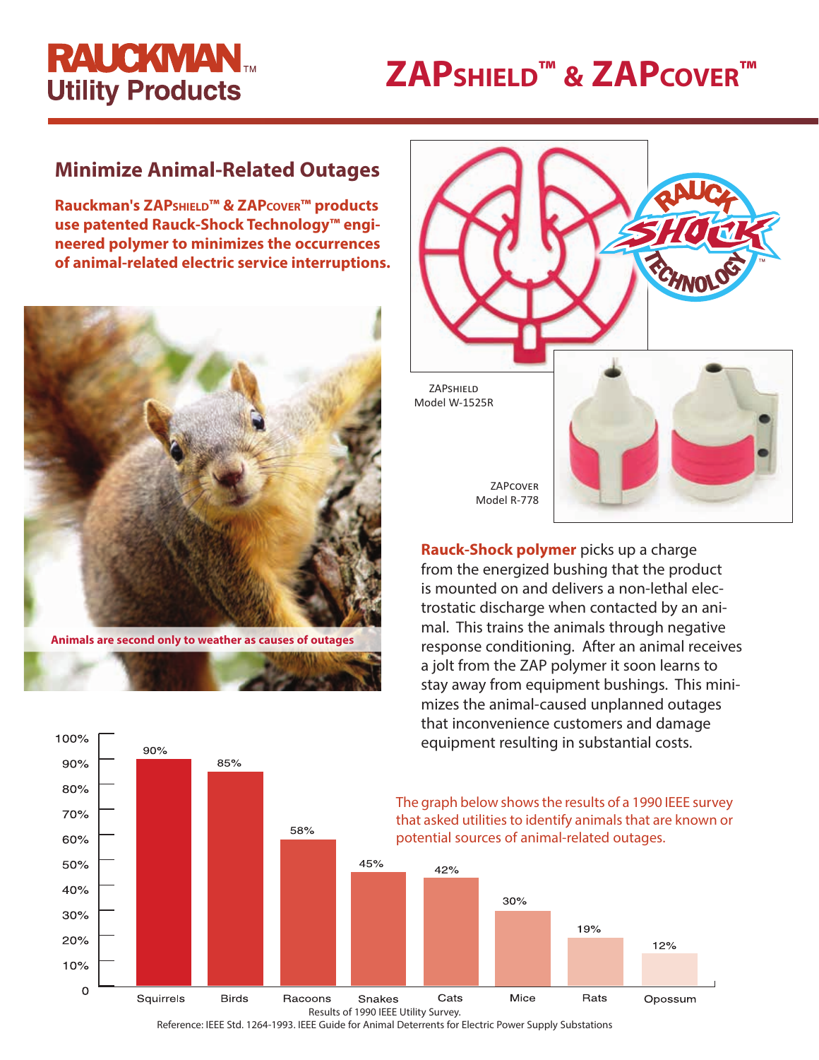# **RAUCKMAN Utility Products**

# **ZAPshield™ & ZAPcover™**

## **Minimize Animal-Related Outages**

**Rauckman's ZAPshield™ & ZAPcover™ products use patented Rauck-Shock Technology™ engineered polymer to minimizes the occurrences of animal-related electric service interruptions.** 



**Animals are second only to weather as causes of outages**



**Rauck-Shock polymer** picks up a charge from the energized bushing that the product is mounted on and delivers a non-lethal electrostatic discharge when contacted by an animal. This trains the animals through negative response conditioning. After an animal receives a jolt from the ZAP polymer it soon learns to stay away from equipment bushings. This minimizes the animal-caused unplanned outages that inconvenience customers and damage equipment resulting in substantial costs.



Reference: IEEE Std. 1264-1993. IEEE Guide for Animal Deterrents for Electric Power Supply Substations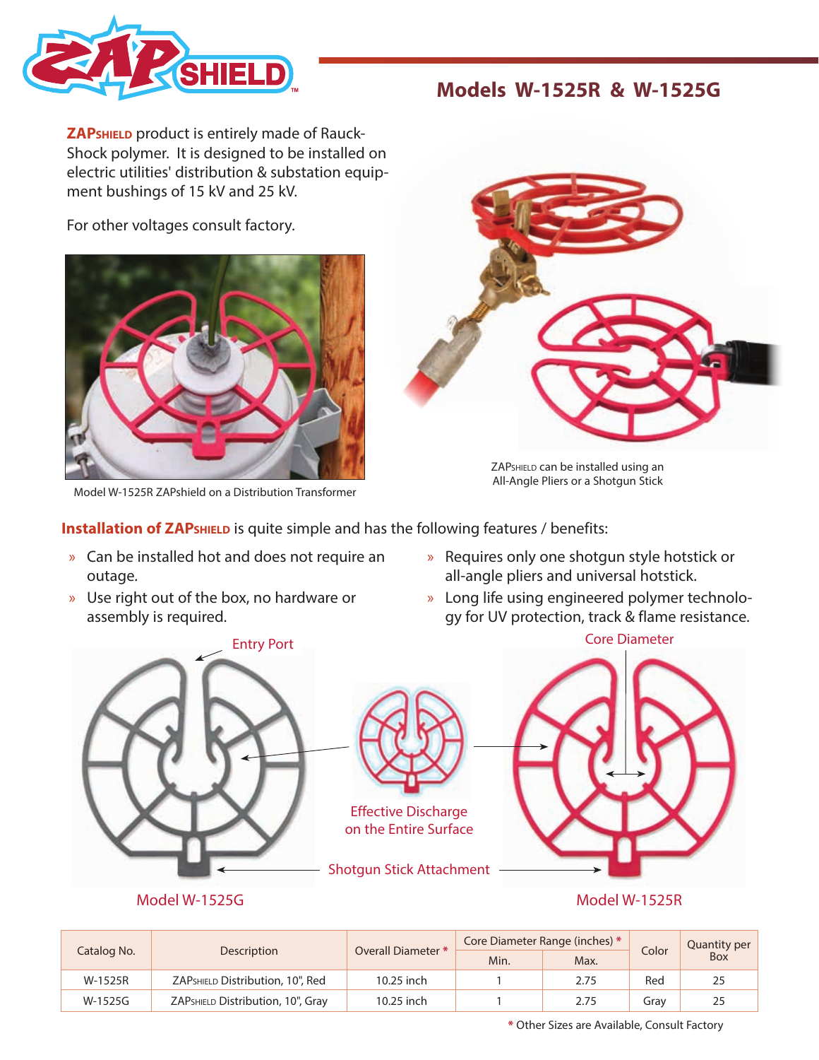

### **Models W-1525R & W-1525G**

**ZAPshield** product is entirely made of Rauck-Shock polymer. It is designed to be installed on electric utilities' distribution & substation equipment bushings of 15 kV and 25 kV.

For other voltages consult factory.



Model W-1525R ZAPshield on a Distribution Transformer



ZAPSHIELD can be installed using an All-Angle Pliers or a Shotgun Stick

**Installation of ZAP**<sup>SHIELD</sup> is quite simple and has the following features / benefits:

- » Can be installed hot and does not require an outage.
- » Use right out of the box, no hardware or assembly is required.



» Requires only one shotgun style hotstick or

gy for UV protection, track & flame resistance.





Effective Discharge on the Entire Surface

Shotgun Stick Attachment



Model W-1525G Model W-1525R

| Catalog No. | Description                       | Overall Diameter * | Core Diameter Range (inches) * |      | Color | Quantity per |
|-------------|-----------------------------------|--------------------|--------------------------------|------|-------|--------------|
|             |                                   |                    | Min.                           | Max. |       | Box          |
| W-1525R     | ZAPSHIELD Distribution, 10", Red  | 10.25 inch         |                                | 2.75 | Red   | 25           |
| W-1525G     | ZAPSHIELD Distribution, 10", Gray | $10.25$ inch       |                                | 2.75 | Grav  | 25           |

**\*** Other Sizes are Available, Consult Factory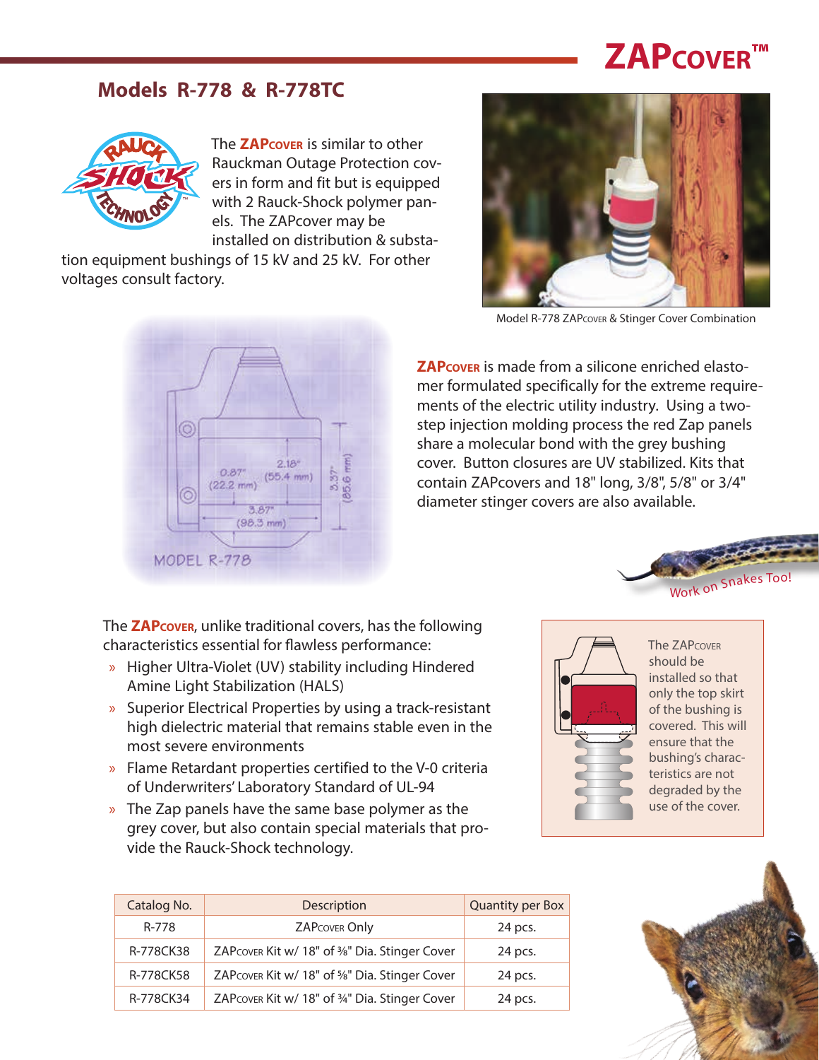# **ZAPcover™**

### **Models R-778 & R-778TC**



The **ZAPcover** is similar to other Rauckman Outage Protection covers in form and fit but is equipped with 2 Rauck-Shock polymer panels. The ZAPcover may be installed on distribution & substa-

tion equipment bushings of 15 kV and 25 kV. For other voltages consult factory.





Model R-778 ZAPcover & Stinger Cover Combination

**ZAPcover** is made from a silicone enriched elastomer formulated specifically for the extreme requirements of the electric utility industry. Using a twostep injection molding process the red Zap panels share a molecular bond with the grey bushing cover. Button closures are UV stabilized. Kits that contain ZAPcovers and 18" long, 3/8", 5/8" or 3/4" diameter stinger covers are also available.



The **ZAPcover**, unlike traditional covers, has the following characteristics essential for flawless performance:

- » Higher Ultra-Violet (UV) stability including Hindered Amine Light Stabilization (HALS)
- » Superior Electrical Properties by using a track-resistant high dielectric material that remains stable even in the most severe environments
- » Flame Retardant properties certified to the V-0 criteria of Underwriters' Laboratory Standard of UL-94
- » The Zap panels have the same base polymer as the grey cover, but also contain special materials that provide the Rauck-Shock technology.





The ZAPcover should be installed so that only the top skirt of the bushing is covered. This will ensure that the bushing's characteristics are not degraded by the use of the cover.